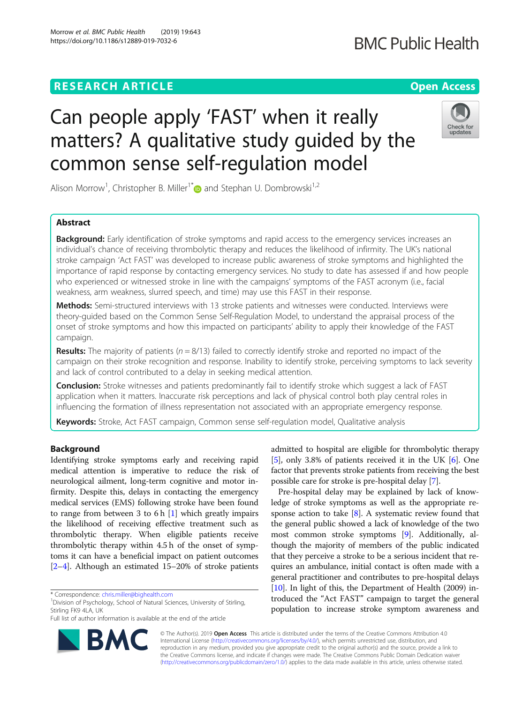# **RESEARCH ARTICLE Example 2014 12:30 The Open Access**

Morrow et al. BMC Public Health (2019) 19:643 https://doi.org/10.1186/s12889-019-7032-6

# Can people apply 'FAST' when it really matters? A qualitative study guided by the common sense self-regulation model

Alison Morrow<sup>1</sup>, Christopher B. Miller<sup>1\*</sup> and Stephan U. Dombrowski<sup>1,2</sup>

# Abstract

**Background:** Early identification of stroke symptoms and rapid access to the emergency services increases an individual's chance of receiving thrombolytic therapy and reduces the likelihood of infirmity. The UK's national stroke campaign 'Act FAST' was developed to increase public awareness of stroke symptoms and highlighted the importance of rapid response by contacting emergency services. No study to date has assessed if and how people who experienced or witnessed stroke in line with the campaigns' symptoms of the FAST acronym (i.e., facial weakness, arm weakness, slurred speech, and time) may use this FAST in their response.

Methods: Semi-structured interviews with 13 stroke patients and witnesses were conducted. Interviews were theory-guided based on the Common Sense Self-Regulation Model, to understand the appraisal process of the onset of stroke symptoms and how this impacted on participants' ability to apply their knowledge of the FAST campaign.

**Results:** The majority of patients ( $n = 8/13$ ) failed to correctly identify stroke and reported no impact of the campaign on their stroke recognition and response. Inability to identify stroke, perceiving symptoms to lack severity and lack of control contributed to a delay in seeking medical attention.

**Conclusion:** Stroke witnesses and patients predominantly fail to identify stroke which suggest a lack of FAST application when it matters. Inaccurate risk perceptions and lack of physical control both play central roles in influencing the formation of illness representation not associated with an appropriate emergency response.

Keywords: Stroke, Act FAST campaign, Common sense self-regulation model, Qualitative analysis

# Background

Identifying stroke symptoms early and receiving rapid medical attention is imperative to reduce the risk of neurological ailment, long-term cognitive and motor infirmity. Despite this, delays in contacting the emergency medical services (EMS) following stroke have been found to range from between 3 to 6 h  $[1]$  $[1]$  which greatly impairs the likelihood of receiving effective treatment such as thrombolytic therapy. When eligible patients receive thrombolytic therapy within 4.5 h of the onset of symptoms it can have a beneficial impact on patient outcomes [[2](#page-5-0)–[4](#page-5-0)]. Although an estimated 15–20% of stroke patients

admitted to hospital are eligible for thrombolytic therapy [[5\]](#page-5-0), only 3.8% of patients received it in the UK [\[6](#page-5-0)]. One factor that prevents stroke patients from receiving the best possible care for stroke is pre-hospital delay [\[7](#page-6-0)].

Pre-hospital delay may be explained by lack of knowledge of stroke symptoms as well as the appropriate response action to take  $[8]$  $[8]$ . A systematic review found that the general public showed a lack of knowledge of the two most common stroke symptoms [[9](#page-6-0)]. Additionally, although the majority of members of the public indicated that they perceive a stroke to be a serious incident that requires an ambulance, initial contact is often made with a general practitioner and contributes to pre-hospital delays [[10](#page-6-0)]. In light of this, the Department of Health (2009) introduced the "Act FAST" campaign to target the general population to increase stroke symptom awareness and

© The Author(s). 2019 Open Access This article is distributed under the terms of the Creative Commons Attribution 4.0 International License [\(http://creativecommons.org/licenses/by/4.0/](http://creativecommons.org/licenses/by/4.0/)), which permits unrestricted use, distribution, and reproduction in any medium, provided you give appropriate credit to the original author(s) and the source, provide a link to the Creative Commons license, and indicate if changes were made. The Creative Commons Public Domain Dedication waiver [\(http://creativecommons.org/publicdomain/zero/1.0/](http://creativecommons.org/publicdomain/zero/1.0/)) applies to the data made available in this article, unless otherwise stated.





# **BMC Public Health**

<sup>\*</sup> Correspondence: [chris.miller@bighealth.com](mailto:chris.miller@bighealth.com) <sup>1</sup>

<sup>&</sup>lt;sup>1</sup> Division of Psychology, School of Natural Sciences, University of Stirling, Stirling FK9 4LA, UK

Full list of author information is available at the end of the article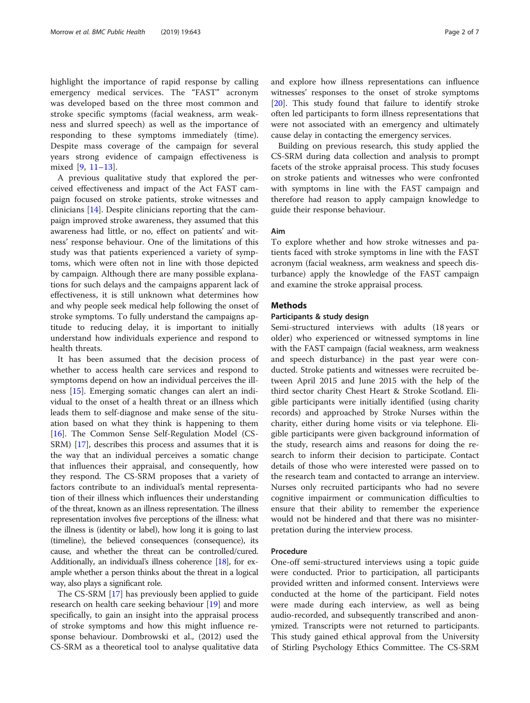highlight the importance of rapid response by calling emergency medical services. The "FAST" acronym was developed based on the three most common and stroke specific symptoms (facial weakness, arm weakness and slurred speech) as well as the importance of responding to these symptoms immediately (time). Despite mass coverage of the campaign for several years strong evidence of campaign effectiveness is mixed [\[9](#page-6-0), [11](#page-6-0)–[13\]](#page-6-0).

A previous qualitative study that explored the perceived effectiveness and impact of the Act FAST campaign focused on stroke patients, stroke witnesses and clinicians [[14\]](#page-6-0). Despite clinicians reporting that the campaign improved stroke awareness, they assumed that this awareness had little, or no, effect on patients' and witness' response behaviour. One of the limitations of this study was that patients experienced a variety of symptoms, which were often not in line with those depicted by campaign. Although there are many possible explanations for such delays and the campaigns apparent lack of effectiveness, it is still unknown what determines how and why people seek medical help following the onset of stroke symptoms. To fully understand the campaigns aptitude to reducing delay, it is important to initially understand how individuals experience and respond to health threats.

It has been assumed that the decision process of whether to access health care services and respond to symptoms depend on how an individual perceives the illness [\[15](#page-6-0)]. Emerging somatic changes can alert an individual to the onset of a health threat or an illness which leads them to self-diagnose and make sense of the situation based on what they think is happening to them [[16\]](#page-6-0). The Common Sense Self-Regulation Model (CS-SRM) [[17\]](#page-6-0), describes this process and assumes that it is the way that an individual perceives a somatic change that influences their appraisal, and consequently, how they respond. The CS-SRM proposes that a variety of factors contribute to an individual's mental representation of their illness which influences their understanding of the threat, known as an illness representation. The illness representation involves five perceptions of the illness: what the illness is (identity or label), how long it is going to last (timeline), the believed consequences (consequence), its cause, and whether the threat can be controlled/cured. Additionally, an individual's illness coherence [\[18](#page-6-0)], for example whether a person thinks about the threat in a logical way, also plays a significant role.

The CS-SRM [\[17](#page-6-0)] has previously been applied to guide research on health care seeking behaviour [\[19\]](#page-6-0) and more specifically, to gain an insight into the appraisal process of stroke symptoms and how this might influence response behaviour. Dombrowski et al., (2012) used the CS-SRM as a theoretical tool to analyse qualitative data and explore how illness representations can influence witnesses' responses to the onset of stroke symptoms [[20\]](#page-6-0). This study found that failure to identify stroke often led participants to form illness representations that were not associated with an emergency and ultimately cause delay in contacting the emergency services.

Building on previous research, this study applied the CS-SRM during data collection and analysis to prompt facets of the stroke appraisal process. This study focuses on stroke patients and witnesses who were confronted with symptoms in line with the FAST campaign and therefore had reason to apply campaign knowledge to guide their response behaviour.

#### Aim

To explore whether and how stroke witnesses and patients faced with stroke symptoms in line with the FAST acronym (facial weakness, arm weakness and speech disturbance) apply the knowledge of the FAST campaign and examine the stroke appraisal process.

# **Methods**

#### Participants & study design

Semi-structured interviews with adults (18 years or older) who experienced or witnessed symptoms in line with the FAST campaign (facial weakness, arm weakness and speech disturbance) in the past year were conducted. Stroke patients and witnesses were recruited between April 2015 and June 2015 with the help of the third sector charity Chest Heart & Stroke Scotland. Eligible participants were initially identified (using charity records) and approached by Stroke Nurses within the charity, either during home visits or via telephone. Eligible participants were given background information of the study, research aims and reasons for doing the research to inform their decision to participate. Contact details of those who were interested were passed on to the research team and contacted to arrange an interview. Nurses only recruited participants who had no severe cognitive impairment or communication difficulties to ensure that their ability to remember the experience would not be hindered and that there was no misinterpretation during the interview process.

### Procedure

One-off semi-structured interviews using a topic guide were conducted. Prior to participation, all participants provided written and informed consent. Interviews were conducted at the home of the participant. Field notes were made during each interview, as well as being audio-recorded, and subsequently transcribed and anonymized. Transcripts were not returned to participants. This study gained ethical approval from the University of Stirling Psychology Ethics Committee. The CS-SRM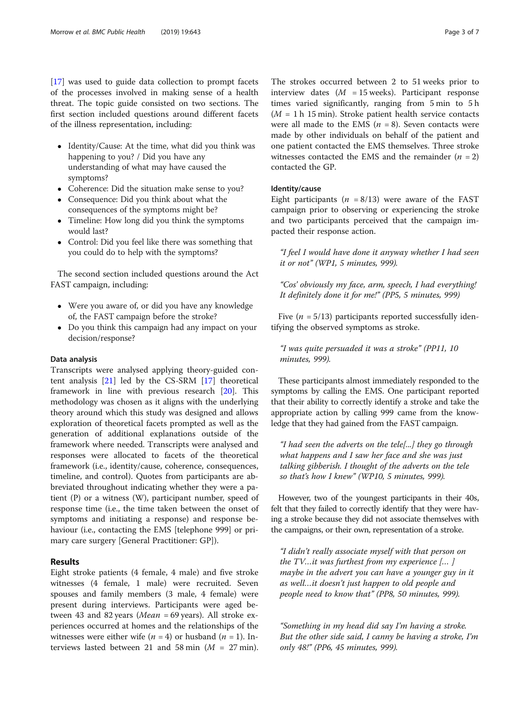[[17\]](#page-6-0) was used to guide data collection to prompt facets of the processes involved in making sense of a health threat. The topic guide consisted on two sections. The first section included questions around different facets of the illness representation, including:

- Identity/Cause: At the time, what did you think was happening to you? / Did you have any understanding of what may have caused the symptoms?
- Coherence: Did the situation make sense to you?
- Consequence: Did you think about what the consequences of the symptoms might be?
- Timeline: How long did you think the symptoms would last?
- Control: Did you feel like there was something that you could do to help with the symptoms?

The second section included questions around the Act FAST campaign, including:

- Were you aware of, or did you have any knowledge of, the FAST campaign before the stroke?
- Do you think this campaign had any impact on your decision/response?

#### Data analysis

Transcripts were analysed applying theory-guided content analysis [[21](#page-6-0)] led by the CS-SRM [\[17](#page-6-0)] theoretical framework in line with previous research [\[20\]](#page-6-0). This methodology was chosen as it aligns with the underlying theory around which this study was designed and allows exploration of theoretical facets prompted as well as the generation of additional explanations outside of the framework where needed. Transcripts were analysed and responses were allocated to facets of the theoretical framework (i.e., identity/cause, coherence, consequences, timeline, and control). Quotes from participants are abbreviated throughout indicating whether they were a patient (P) or a witness (W), participant number, speed of response time (i.e., the time taken between the onset of symptoms and initiating a response) and response behaviour (i.e., contacting the EMS [telephone 999] or primary care surgery [General Practitioner: GP]).

# Results

Eight stroke patients (4 female, 4 male) and five stroke witnesses (4 female, 1 male) were recruited. Seven spouses and family members (3 male, 4 female) were present during interviews. Participants were aged between 43 and 82 years (*Mean* = 69 years). All stroke experiences occurred at homes and the relationships of the witnesses were either wife  $(n = 4)$  or husband  $(n = 1)$ . Interviews lasted between 21 and 58 min  $(M = 27 \text{ min})$ .

The strokes occurred between 2 to 51 weeks prior to interview dates  $(M = 15$  weeks). Participant response times varied significantly, ranging from 5 min to 5 h  $(M = 1 h 15 min)$ . Stroke patient health service contacts were all made to the EMS ( $n = 8$ ). Seven contacts were made by other individuals on behalf of the patient and one patient contacted the EMS themselves. Three stroke witnesses contacted the EMS and the remainder  $(n = 2)$ contacted the GP.

# Identity/cause

Eight participants ( $n = 8/13$ ) were aware of the FAST campaign prior to observing or experiencing the stroke and two participants perceived that the campaign impacted their response action.

"I feel I would have done it anyway whether I had seen it or not" (WP1, 5 minutes, 999).

"Cos' obviously my face, arm, speech, I had everything! It definitely done it for me!" (PP5, 5 minutes, 999)

Five  $(n = 5/13)$  participants reported successfully identifying the observed symptoms as stroke.

"I was quite persuaded it was a stroke" (PP11, 10 minutes, 999).

These participants almost immediately responded to the symptoms by calling the EMS. One participant reported that their ability to correctly identify a stroke and take the appropriate action by calling 999 came from the knowledge that they had gained from the FAST campaign.

"I had seen the adverts on the tele[...] they go through what happens and I saw her face and she was just talking gibberish. I thought of the adverts on the tele so that's how I knew" (WP10, 5 minutes, 999).

However, two of the youngest participants in their 40s, felt that they failed to correctly identify that they were having a stroke because they did not associate themselves with the campaigns, or their own, representation of a stroke.

"I didn't really associate myself with that person on the  $TV...$  it was furthest from my experience  $[...]$ maybe in the advert you can have a younger guy in it as well…it doesn't just happen to old people and people need to know that" (PP8, 50 minutes, 999).

"Something in my head did say I'm having a stroke. But the other side said, I canny be having a stroke, I'm only 48!" (PP6, 45 minutes, 999).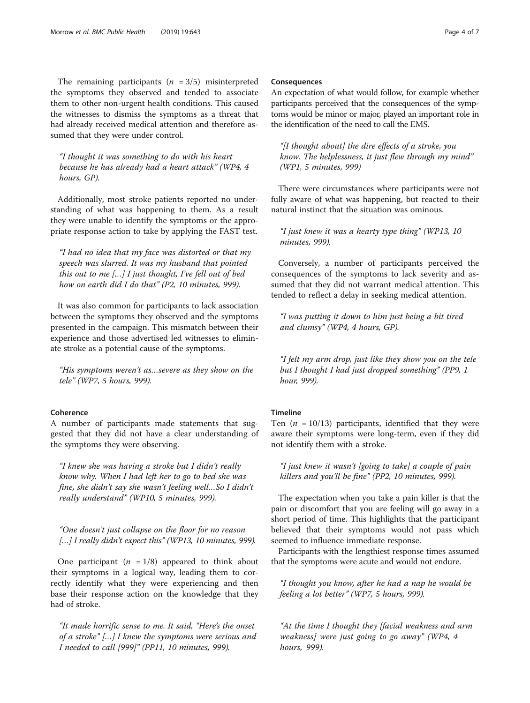"I thought it was something to do with his heart because he has already had a heart attack" (WP4, 4 hours, GP).

Additionally, most stroke patients reported no understanding of what was happening to them. As a result they were unable to identify the symptoms or the appropriate response action to take by applying the FAST test.

"I had no idea that my face was distorted or that my speech was slurred. It was my husband that pointed this out to me […] I just thought, I've fell out of bed how on earth did I do that" (P2, 10 minutes, 999).

It was also common for participants to lack association between the symptoms they observed and the symptoms presented in the campaign. This mismatch between their experience and those advertised led witnesses to eliminate stroke as a potential cause of the symptoms.

"His symptoms weren't as…severe as they show on the tele" (WP7, 5 hours, 999).

# **Coherence**

A number of participants made statements that suggested that they did not have a clear understanding of the symptoms they were observing.

"I knew she was having a stroke but I didn't really know why. When I had left her to go to bed she was fine, she didn't say she wasn't feeling well…So I didn't really understand" (WP10, 5 minutes, 999).

"One doesn't just collapse on the floor for no reason [...] I really didn't expect this" (WP13, 10 minutes, 999).

One participant  $(n = 1/8)$  appeared to think about their symptoms in a logical way, leading them to correctly identify what they were experiencing and then base their response action on the knowledge that they had of stroke.

"It made horrific sense to me. It said, "Here's the onset of a stroke" […] I knew the symptoms were serious and I needed to call [999]" (PP11, 10 minutes, 999).

#### Consequences

An expectation of what would follow, for example whether participants perceived that the consequences of the symptoms would be minor or major, played an important role in the identification of the need to call the EMS.

"[I thought about] the dire effects of a stroke, you know. The helplessness, it just flew through my mind" (WP1, 5 minutes, 999)

There were circumstances where participants were not fully aware of what was happening, but reacted to their natural instinct that the situation was ominous.

"I just knew it was a hearty type thing" (WP13, 10 minutes, 999).

Conversely, a number of participants perceived the consequences of the symptoms to lack severity and assumed that they did not warrant medical attention. This tended to reflect a delay in seeking medical attention.

"I was putting it down to him just being a bit tired and clumsy" (WP4, 4 hours, GP).

"I felt my arm drop, just like they show you on the tele but I thought I had just dropped something" (PP9, 1 hour, 999).

# Timeline

Ten ( $n = 10/13$ ) participants, identified that they were aware their symptoms were long-term, even if they did not identify them with a stroke.

"I just knew it wasn't [going to take] a couple of pain killers and you'll be fine" (PP2, 10 minutes, 999).

The expectation when you take a pain killer is that the pain or discomfort that you are feeling will go away in a short period of time. This highlights that the participant believed that their symptoms would not pass which seemed to influence immediate response.

Participants with the lengthiest response times assumed that the symptoms were acute and would not endure.

"I thought you know, after he had a nap he would be feeling a lot better" (WP7, 5 hours, 999).

"At the time I thought they [facial weakness and arm weakness] were just going to go away" (WP4, 4 hours, 999).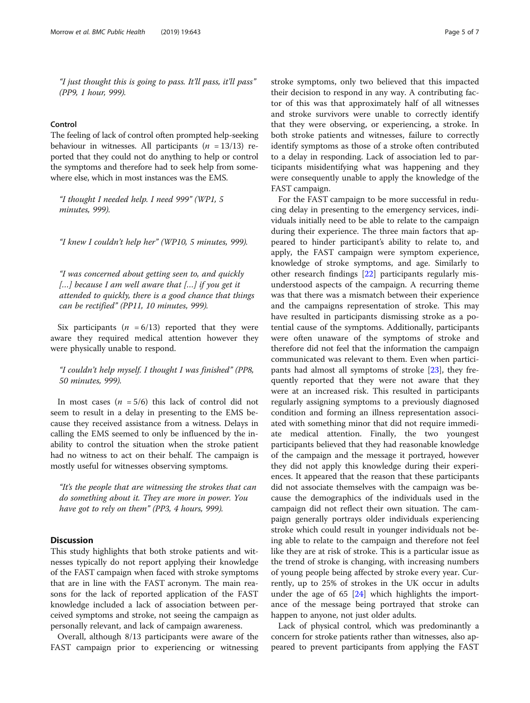"I just thought this is going to pass. It'll pass, it'll pass" (PP9, 1 hour, 999).

# Control

The feeling of lack of control often prompted help-seeking behaviour in witnesses. All participants  $(n = 13/13)$  reported that they could not do anything to help or control the symptoms and therefore had to seek help from somewhere else, which in most instances was the EMS.

"I thought I needed help. I need 999" (WP1, 5 minutes, 999).

"I knew I couldn't help her" (WP10, 5 minutes, 999).

"I was concerned about getting seen to, and quickly  $[...]$  because I am well aware that  $[...]$  if you get it attended to quickly, there is a good chance that things can be rectified" (PP11, 10 minutes, 999).

Six participants ( $n = 6/13$ ) reported that they were aware they required medical attention however they were physically unable to respond.

"I couldn't help myself. I thought I was finished" (PP8, 50 minutes, 999).

In most cases  $(n = 5/6)$  this lack of control did not seem to result in a delay in presenting to the EMS because they received assistance from a witness. Delays in calling the EMS seemed to only be influenced by the inability to control the situation when the stroke patient had no witness to act on their behalf. The campaign is mostly useful for witnesses observing symptoms.

"It's the people that are witnessing the strokes that can do something about it. They are more in power. You have got to rely on them" (PP3, 4 hours, 999).

# **Discussion**

This study highlights that both stroke patients and witnesses typically do not report applying their knowledge of the FAST campaign when faced with stroke symptoms that are in line with the FAST acronym. The main reasons for the lack of reported application of the FAST knowledge included a lack of association between perceived symptoms and stroke, not seeing the campaign as personally relevant, and lack of campaign awareness.

Overall, although 8/13 participants were aware of the FAST campaign prior to experiencing or witnessing stroke symptoms, only two believed that this impacted their decision to respond in any way. A contributing factor of this was that approximately half of all witnesses and stroke survivors were unable to correctly identify that they were observing, or experiencing, a stroke. In both stroke patients and witnesses, failure to correctly identify symptoms as those of a stroke often contributed to a delay in responding. Lack of association led to participants misidentifying what was happening and they were consequently unable to apply the knowledge of the FAST campaign.

For the FAST campaign to be more successful in reducing delay in presenting to the emergency services, individuals initially need to be able to relate to the campaign during their experience. The three main factors that appeared to hinder participant's ability to relate to, and apply, the FAST campaign were symptom experience, knowledge of stroke symptoms, and age. Similarly to other research findings [[22\]](#page-6-0) participants regularly misunderstood aspects of the campaign. A recurring theme was that there was a mismatch between their experience and the campaigns representation of stroke. This may have resulted in participants dismissing stroke as a potential cause of the symptoms. Additionally, participants were often unaware of the symptoms of stroke and therefore did not feel that the information the campaign communicated was relevant to them. Even when participants had almost all symptoms of stroke [[23\]](#page-6-0), they frequently reported that they were not aware that they were at an increased risk. This resulted in participants regularly assigning symptoms to a previously diagnosed condition and forming an illness representation associated with something minor that did not require immediate medical attention. Finally, the two youngest participants believed that they had reasonable knowledge of the campaign and the message it portrayed, however they did not apply this knowledge during their experiences. It appeared that the reason that these participants did not associate themselves with the campaign was because the demographics of the individuals used in the campaign did not reflect their own situation. The campaign generally portrays older individuals experiencing stroke which could result in younger individuals not being able to relate to the campaign and therefore not feel like they are at risk of stroke. This is a particular issue as the trend of stroke is changing, with increasing numbers of young people being affected by stroke every year. Currently, up to 25% of strokes in the UK occur in adults under the age of 65 [[24\]](#page-6-0) which highlights the importance of the message being portrayed that stroke can happen to anyone, not just older adults.

Lack of physical control, which was predominantly a concern for stroke patients rather than witnesses, also appeared to prevent participants from applying the FAST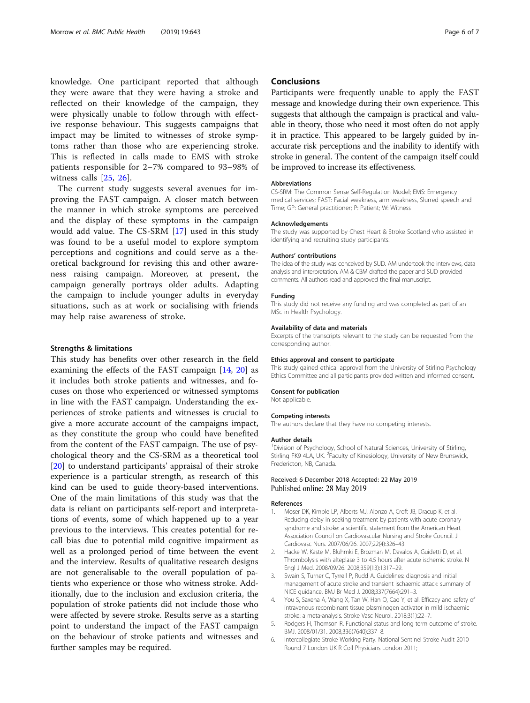<span id="page-5-0"></span>knowledge. One participant reported that although they were aware that they were having a stroke and reflected on their knowledge of the campaign, they were physically unable to follow through with effective response behaviour. This suggests campaigns that impact may be limited to witnesses of stroke symptoms rather than those who are experiencing stroke. This is reflected in calls made to EMS with stroke patients responsible for 2–7% compared to 93–98% of witness calls [[25,](#page-6-0) [26\]](#page-6-0).

The current study suggests several avenues for improving the FAST campaign. A closer match between the manner in which stroke symptoms are perceived and the display of these symptoms in the campaign would add value. The CS-SRM [[17\]](#page-6-0) used in this study was found to be a useful model to explore symptom perceptions and cognitions and could serve as a theoretical background for revising this and other awareness raising campaign. Moreover, at present, the campaign generally portrays older adults. Adapting the campaign to include younger adults in everyday situations, such as at work or socialising with friends may help raise awareness of stroke.

#### Strengths & limitations

This study has benefits over other research in the field examining the effects of the FAST campaign [[14,](#page-6-0) [20](#page-6-0)] as it includes both stroke patients and witnesses, and focuses on those who experienced or witnessed symptoms in line with the FAST campaign. Understanding the experiences of stroke patients and witnesses is crucial to give a more accurate account of the campaigns impact, as they constitute the group who could have benefited from the content of the FAST campaign. The use of psychological theory and the CS-SRM as a theoretical tool [[20\]](#page-6-0) to understand participants' appraisal of their stroke experience is a particular strength, as research of this kind can be used to guide theory-based interventions. One of the main limitations of this study was that the data is reliant on participants self-report and interpretations of events, some of which happened up to a year previous to the interviews. This creates potential for recall bias due to potential mild cognitive impairment as well as a prolonged period of time between the event and the interview. Results of qualitative research designs are not generalisable to the overall population of patients who experience or those who witness stroke. Additionally, due to the inclusion and exclusion criteria, the population of stroke patients did not include those who were affected by severe stroke. Results serve as a starting point to understand the impact of the FAST campaign on the behaviour of stroke patients and witnesses and further samples may be required.

### **Conclusions**

Participants were frequently unable to apply the FAST message and knowledge during their own experience. This suggests that although the campaign is practical and valuable in theory, those who need it most often do not apply it in practice. This appeared to be largely guided by inaccurate risk perceptions and the inability to identify with stroke in general. The content of the campaign itself could be improved to increase its effectiveness.

#### **Abbreviations**

CS-SRM: The Common Sense Self-Regulation Model; EMS: Emergency medical services; FAST: Facial weakness, arm weakness, Slurred speech and Time; GP: General practitioner; P: Patient; W: Witness

#### Acknowledgements

The study was supported by Chest Heart & Stroke Scotland who assisted in identifying and recruiting study participants.

#### Authors' contributions

The idea of the study was conceived by SUD. AM undertook the interviews, data analysis and interpretation. AM & CBM drafted the paper and SUD provided comments. All authors read and approved the final manuscript.

#### Funding

This study did not receive any funding and was completed as part of an MSc in Health Psychology.

#### Availability of data and materials

Excerpts of the transcripts relevant to the study can be requested from the corresponding author.

#### Ethics approval and consent to participate

This study gained ethical approval from the University of Stirling Psychology Ethics Committee and all participants provided written and informed consent.

#### Consent for publication

Not applicable.

#### Competing interests

The authors declare that they have no competing interests.

#### Author details

<sup>1</sup> Division of Psychology, School of Natural Sciences, University of Stirling Stirling FK9 4LA, UK. <sup>2</sup> Faculty of Kinesiology, University of New Brunswick, Fredericton, NB, Canada.

#### Received: 6 December 2018 Accepted: 22 May 2019 Published online: 28 May 2019

#### References

- 1. Moser DK, Kimble LP, Alberts MJ, Alonzo A, Croft JB, Dracup K, et al. Reducing delay in seeking treatment by patients with acute coronary syndrome and stroke: a scientific statement from the American Heart Association Council on Cardiovascular Nursing and Stroke Council. J Cardiovasc Nurs. 2007/06/26. 2007;22(4):326–43.
- 2. Hacke W, Kaste M, Bluhmki E, Brozman M, Davalos A, Guidetti D, et al. Thrombolysis with alteplase 3 to 4.5 hours after acute ischemic stroke. N Engl J Med. 2008/09/26. 2008;359(13):1317–29.
- 3. Swain S, Turner C, Tyrrell P, Rudd A. Guidelines: diagnosis and initial management of acute stroke and transient ischaemic attack: summary of NICE guidance. BMJ Br Med J. 2008;337(7664):291–3.
- 4. You S, Saxena A, Wang X, Tan W, Han Q, Cao Y, et al. Efficacy and safety of intravenous recombinant tissue plasminogen activator in mild ischaemic stroke: a meta-analysis. Stroke Vasc Neurol. 2018;3(1):22–7.
- 5. Rodgers H, Thomson R. Functional status and long term outcome of stroke. BMJ. 2008/01/31. 2008;336(7640):337–8.
- 6. Intercollegiate Stroke Working Party. National Sentinel Stroke Audit 2010 Round 7 London UK R Coll Physicians London 2011;